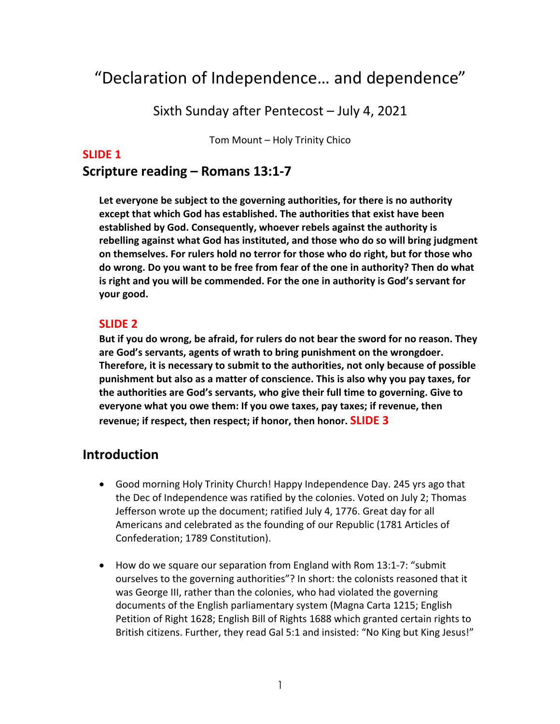# "Declaration of Independence… and dependence"

Sixth Sunday after Pentecost – July 4, 2021

Tom Mount – Holy Trinity Chico

#### **SLIDE 1**

## **Scripture reading – Romans 13:1-7**

**Let everyone be subject to the governing authorities, for there is no authority except that which God has established. The authorities that exist have been established by God. Consequently, whoever rebels against the authority is rebelling against what God has instituted, and those who do so will bring judgment on themselves. For rulers hold no terror for those who do right, but for those who do wrong. Do you want to be free from fear of the one in authority? Then do what is right and you will be commended. For the one in authority is God's servant for your good.** 

#### **SLIDE 2**

**But if you do wrong, be afraid, for rulers do not bear the sword for no reason. They are God's servants, agents of wrath to bring punishment on the wrongdoer. Therefore, it is necessary to submit to the authorities, not only because of possible punishment but also as a matter of conscience. This is also why you pay taxes, for the authorities are God's servants, who give their full time to governing. Give to everyone what you owe them: If you owe taxes, pay taxes; if revenue, then revenue; if respect, then respect; if honor, then honor. SLIDE 3**

## **Introduction**

- Good morning Holy Trinity Church! Happy Independence Day. 245 yrs ago that the Dec of Independence was ratified by the colonies. Voted on July 2; Thomas Jefferson wrote up the document; ratified July 4, 1776. Great day for all Americans and celebrated as the founding of our Republic (1781 Articles of Confederation; 1789 Constitution).
- How do we square our separation from England with Rom 13:1-7: "submit ourselves to the governing authorities"? In short: the colonists reasoned that it was George III, rather than the colonies, who had violated the governing documents of the English parliamentary system (Magna Carta 1215; English Petition of Right 1628; English Bill of Rights 1688 which granted certain rights to British citizens. Further, they read Gal 5:1 and insisted: "No King but King Jesus!"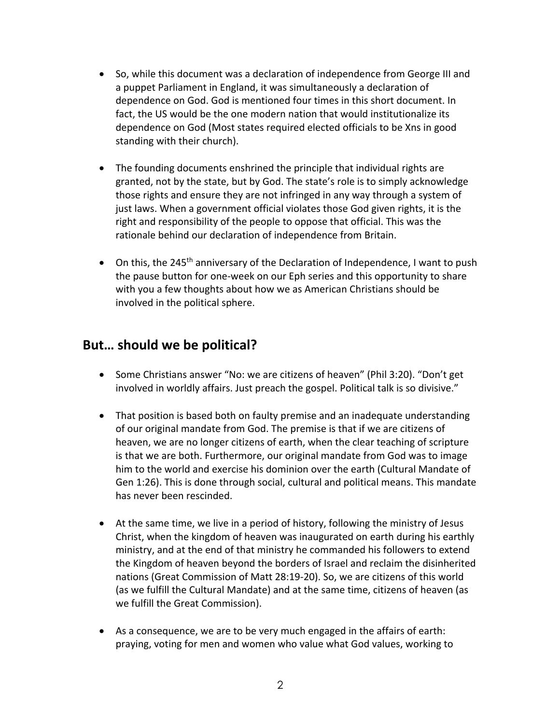- So, while this document was a declaration of independence from George III and a puppet Parliament in England, it was simultaneously a declaration of dependence on God. God is mentioned four times in this short document. In fact, the US would be the one modern nation that would institutionalize its dependence on God (Most states required elected officials to be Xns in good standing with their church).
- The founding documents enshrined the principle that individual rights are granted, not by the state, but by God. The state's role is to simply acknowledge those rights and ensure they are not infringed in any way through a system of just laws. When a government official violates those God given rights, it is the right and responsibility of the people to oppose that official. This was the rationale behind our declaration of independence from Britain.
- On this, the 245<sup>th</sup> anniversary of the Declaration of Independence, I want to push the pause button for one-week on our Eph series and this opportunity to share with you a few thoughts about how we as American Christians should be involved in the political sphere.

# **But… should we be political?**

- Some Christians answer "No: we are citizens of heaven" (Phil 3:20). "Don't get involved in worldly affairs. Just preach the gospel. Political talk is so divisive."
- That position is based both on faulty premise and an inadequate understanding of our original mandate from God. The premise is that if we are citizens of heaven, we are no longer citizens of earth, when the clear teaching of scripture is that we are both. Furthermore, our original mandate from God was to image him to the world and exercise his dominion over the earth (Cultural Mandate of Gen 1:26). This is done through social, cultural and political means. This mandate has never been rescinded.
- At the same time, we live in a period of history, following the ministry of Jesus Christ, when the kingdom of heaven was inaugurated on earth during his earthly ministry, and at the end of that ministry he commanded his followers to extend the Kingdom of heaven beyond the borders of Israel and reclaim the disinherited nations (Great Commission of Matt 28:19-20). So, we are citizens of this world (as we fulfill the Cultural Mandate) and at the same time, citizens of heaven (as we fulfill the Great Commission).
- As a consequence, we are to be very much engaged in the affairs of earth: praying, voting for men and women who value what God values, working to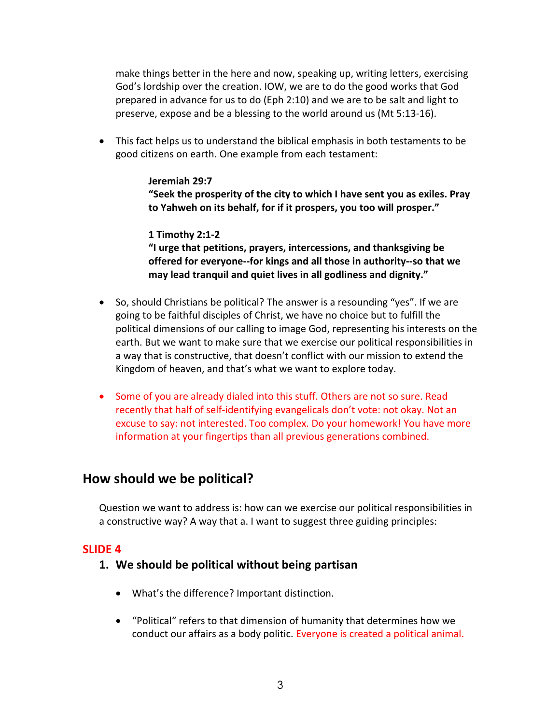make things better in the here and now, speaking up, writing letters, exercising God's lordship over the creation. IOW, we are to do the good works that God prepared in advance for us to do (Eph 2:10) and we are to be salt and light to preserve, expose and be a blessing to the world around us (Mt 5:13-16).

• This fact helps us to understand the biblical emphasis in both testaments to be good citizens on earth. One example from each testament:

#### **Jeremiah 29:7 "Seek the prosperity of the city to which I have sent you as exiles. Pray to Yahweh on its behalf, for if it prospers, you too will prosper."**

#### **1 Timothy 2:1-2**

**"I urge that petitions, prayers, intercessions, and thanksgiving be offered for everyone--for kings and all those in authority--so that we may lead tranquil and quiet lives in all godliness and dignity."**

- So, should Christians be political? The answer is a resounding "yes". If we are going to be faithful disciples of Christ, we have no choice but to fulfill the political dimensions of our calling to image God, representing his interests on the earth. But we want to make sure that we exercise our political responsibilities in a way that is constructive, that doesn't conflict with our mission to extend the Kingdom of heaven, and that's what we want to explore today.
- Some of you are already dialed into this stuff. Others are not so sure. Read recently that half of self-identifying evangelicals don't vote: not okay. Not an excuse to say: not interested. Too complex. Do your homework! You have more information at your fingertips than all previous generations combined.

# **How should we be political?**

Question we want to address is: how can we exercise our political responsibilities in a constructive way? A way that a. I want to suggest three guiding principles:

## **SLIDE 4**

#### **1. We should be political without being partisan**

- What's the difference? Important distinction.
- "Political" refers to that dimension of humanity that determines how we conduct our affairs as a body politic. Everyone is created a political animal.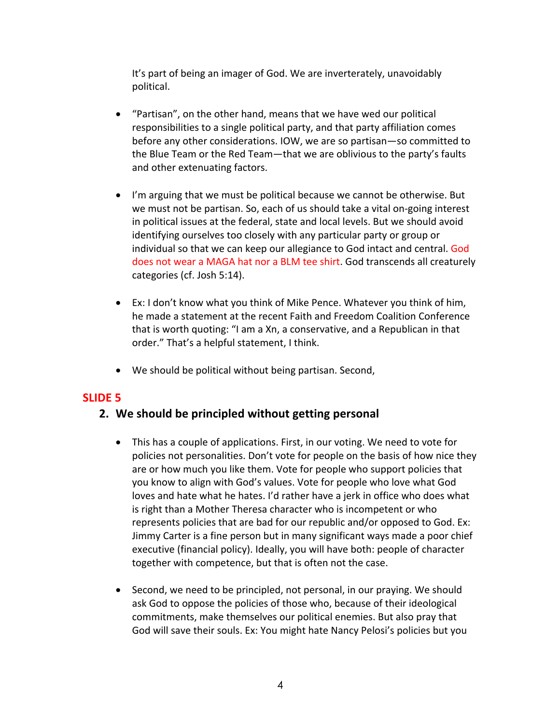It's part of being an imager of God. We are inverterately, unavoidably political.

- "Partisan", on the other hand, means that we have wed our political responsibilities to a single political party, and that party affiliation comes before any other considerations. IOW, we are so partisan—so committed to the Blue Team or the Red Team—that we are oblivious to the party's faults and other extenuating factors.
- I'm arguing that we must be political because we cannot be otherwise. But we must not be partisan. So, each of us should take a vital on-going interest in political issues at the federal, state and local levels. But we should avoid identifying ourselves too closely with any particular party or group or individual so that we can keep our allegiance to God intact and central. God does not wear a MAGA hat nor a BLM tee shirt. God transcends all creaturely categories (cf. Josh 5:14).
- Ex: I don't know what you think of Mike Pence. Whatever you think of him, he made a statement at the recent Faith and Freedom Coalition Conference that is worth quoting: "I am a Xn, a conservative, and a Republican in that order." That's a helpful statement, I think.
- We should be political without being partisan. Second,

## **SLIDE 5**

## **2. We should be principled without getting personal**

- This has a couple of applications. First, in our voting. We need to vote for policies not personalities. Don't vote for people on the basis of how nice they are or how much you like them. Vote for people who support policies that you know to align with God's values. Vote for people who love what God loves and hate what he hates. I'd rather have a jerk in office who does what is right than a Mother Theresa character who is incompetent or who represents policies that are bad for our republic and/or opposed to God. Ex: Jimmy Carter is a fine person but in many significant ways made a poor chief executive (financial policy). Ideally, you will have both: people of character together with competence, but that is often not the case.
- Second, we need to be principled, not personal, in our praying. We should ask God to oppose the policies of those who, because of their ideological commitments, make themselves our political enemies. But also pray that God will save their souls. Ex: You might hate Nancy Pelosi's policies but you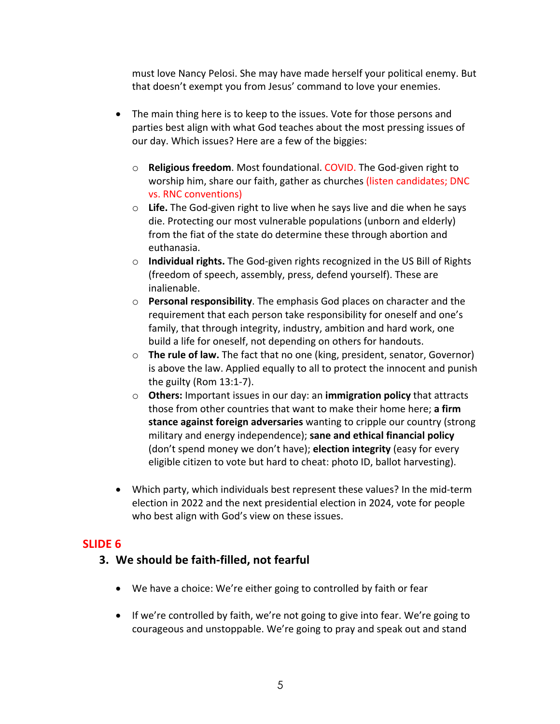must love Nancy Pelosi. She may have made herself your political enemy. But that doesn't exempt you from Jesus' command to love your enemies.

- The main thing here is to keep to the issues. Vote for those persons and parties best align with what God teaches about the most pressing issues of our day. Which issues? Here are a few of the biggies:
	- o **Religious freedom**. Most foundational. COVID. The God-given right to worship him, share our faith, gather as churches (listen candidates; DNC vs. RNC conventions)
	- o **Life.** The God-given right to live when he says live and die when he says die. Protecting our most vulnerable populations (unborn and elderly) from the fiat of the state do determine these through abortion and euthanasia.
	- o **Individual rights.** The God-given rights recognized in the US Bill of Rights (freedom of speech, assembly, press, defend yourself). These are inalienable.
	- o **Personal responsibility**. The emphasis God places on character and the requirement that each person take responsibility for oneself and one's family, that through integrity, industry, ambition and hard work, one build a life for oneself, not depending on others for handouts.
	- o **The rule of law.** The fact that no one (king, president, senator, Governor) is above the law. Applied equally to all to protect the innocent and punish the guilty (Rom 13:1-7).
	- o **Others:** Important issues in our day: an **immigration policy** that attracts those from other countries that want to make their home here; **a firm stance against foreign adversaries** wanting to cripple our country (strong military and energy independence); **sane and ethical financial policy** (don't spend money we don't have); **election integrity** (easy for every eligible citizen to vote but hard to cheat: photo ID, ballot harvesting).
- Which party, which individuals best represent these values? In the mid-term election in 2022 and the next presidential election in 2024, vote for people who best align with God's view on these issues.

## **SLIDE 6**

## **3. We should be faith-filled, not fearful**

- We have a choice: We're either going to controlled by faith or fear
- If we're controlled by faith, we're not going to give into fear. We're going to courageous and unstoppable. We're going to pray and speak out and stand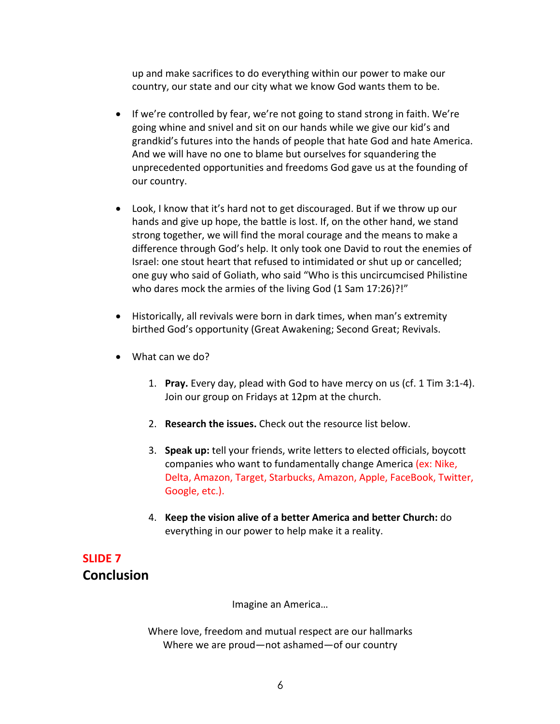up and make sacrifices to do everything within our power to make our country, our state and our city what we know God wants them to be.

- If we're controlled by fear, we're not going to stand strong in faith. We're going whine and snivel and sit on our hands while we give our kid's and grandkid's futures into the hands of people that hate God and hate America. And we will have no one to blame but ourselves for squandering the unprecedented opportunities and freedoms God gave us at the founding of our country.
- Look, I know that it's hard not to get discouraged. But if we throw up our hands and give up hope, the battle is lost. If, on the other hand, we stand strong together, we will find the moral courage and the means to make a difference through God's help. It only took one David to rout the enemies of Israel: one stout heart that refused to intimidated or shut up or cancelled; one guy who said of Goliath, who said "Who is this uncircumcised Philistine who dares mock the armies of the living God (1 Sam 17:26)?!"
- Historically, all revivals were born in dark times, when man's extremity birthed God's opportunity (Great Awakening; Second Great; Revivals.
- What can we do?
	- 1. **Pray.** Every day, plead with God to have mercy on us (cf. 1 Tim 3:1-4). Join our group on Fridays at 12pm at the church.
	- 2. **Research the issues.** Check out the resource list below.
	- 3. **Speak up:** tell your friends, write letters to elected officials, boycott companies who want to fundamentally change America (ex: Nike, Delta, Amazon, Target, Starbucks, Amazon, Apple, FaceBook, Twitter, Google, etc.).
	- 4. **Keep the vision alive of a better America and better Church:** do everything in our power to help make it a reality.

# **SLIDE 7 Conclusion**

Imagine an America…

Where love, freedom and mutual respect are our hallmarks Where we are proud—not ashamed—of our country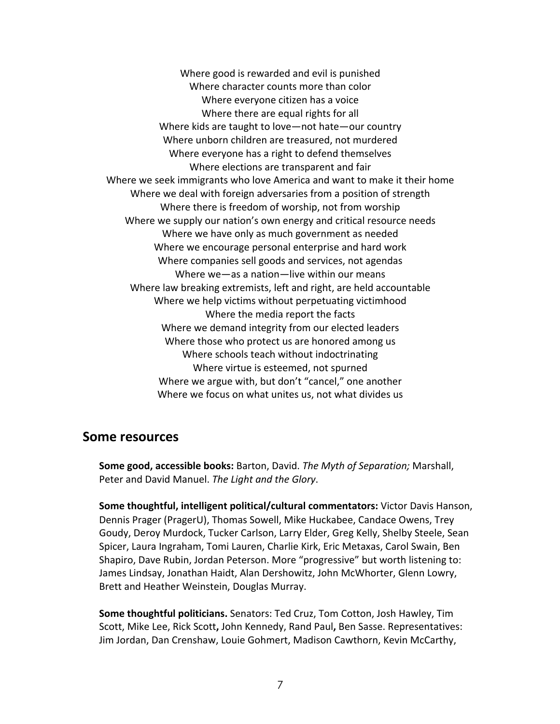Where good is rewarded and evil is punished Where character counts more than color Where everyone citizen has a voice Where there are equal rights for all Where kids are taught to love—not hate—our country Where unborn children are treasured, not murdered Where everyone has a right to defend themselves Where elections are transparent and fair Where we seek immigrants who love America and want to make it their home Where we deal with foreign adversaries from a position of strength Where there is freedom of worship, not from worship Where we supply our nation's own energy and critical resource needs Where we have only as much government as needed Where we encourage personal enterprise and hard work Where companies sell goods and services, not agendas Where we—as a nation—live within our means Where law breaking extremists, left and right, are held accountable Where we help victims without perpetuating victimhood Where the media report the facts Where we demand integrity from our elected leaders Where those who protect us are honored among us Where schools teach without indoctrinating Where virtue is esteemed, not spurned Where we argue with, but don't "cancel," one another Where we focus on what unites us, not what divides us

#### **Some resources**

**Some good, accessible books:** Barton, David. *The Myth of Separation;* Marshall, Peter and David Manuel. *The Light and the Glory*.

**Some thoughtful, intelligent political/cultural commentators:** Victor Davis Hanson, Dennis Prager (PragerU), Thomas Sowell, Mike Huckabee, Candace Owens, Trey Goudy, Deroy Murdock, Tucker Carlson, Larry Elder, Greg Kelly, Shelby Steele, Sean Spicer, Laura Ingraham, Tomi Lauren, Charlie Kirk, Eric Metaxas, Carol Swain, Ben Shapiro, Dave Rubin, Jordan Peterson. More "progressive" but worth listening to: James Lindsay, Jonathan Haidt, Alan Dershowitz, John McWhorter, Glenn Lowry, Brett and Heather Weinstein, Douglas Murray.

**Some thoughtful politicians.** Senators: Ted Cruz, Tom Cotton, Josh Hawley, Tim Scott, Mike Lee, Rick Scott**,** John Kennedy, Rand Paul**,** Ben Sasse. Representatives: Jim Jordan, Dan Crenshaw, Louie Gohmert, Madison Cawthorn, Kevin McCarthy,